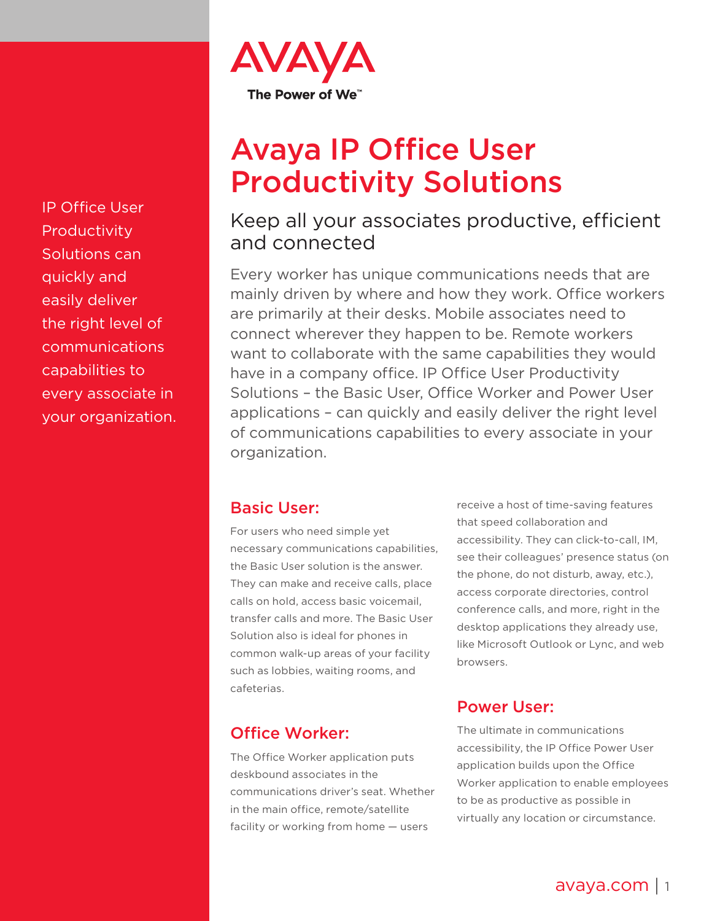

# Avaya IP Office User Productivity Solutions

# Keep all your associates productive, efficient and connected

Every worker has unique communications needs that are mainly driven by where and how they work. Office workers are primarily at their desks. Mobile associates need to connect wherever they happen to be. Remote workers want to collaborate with the same capabilities they would have in a company office. IP Office User Productivity Solutions – the Basic User, Office Worker and Power User applications – can quickly and easily deliver the right level of communications capabilities to every associate in your organization.

### Basic User:

For users who need simple yet necessary communications capabilities, the Basic User solution is the answer. They can make and receive calls, place calls on hold, access basic voicemail, transfer calls and more. The Basic User Solution also is ideal for phones in common walk-up areas of your facility such as lobbies, waiting rooms, and cafeterias.

receive a host of time-saving features that speed collaboration and accessibility. They can click-to-call, IM, see their colleagues' presence status (on the phone, do not disturb, away, etc.), access corporate directories, control conference calls, and more, right in the desktop applications they already use, like Microsoft Outlook or Lync, and web browsers.

#### Power User:

The ultimate in communications accessibility, the IP Office Power User application builds upon the Office Worker application to enable employees to be as productive as possible in virtually any location or circumstance.

IP Office User Productivity Solutions can quickly and easily deliver the right level of communications capabilities to every associate in your organization.

## Office Worker:

The Office Worker application puts deskbound associates in the communications driver's seat. Whether in the main office, remote/satellite facility or working from home — users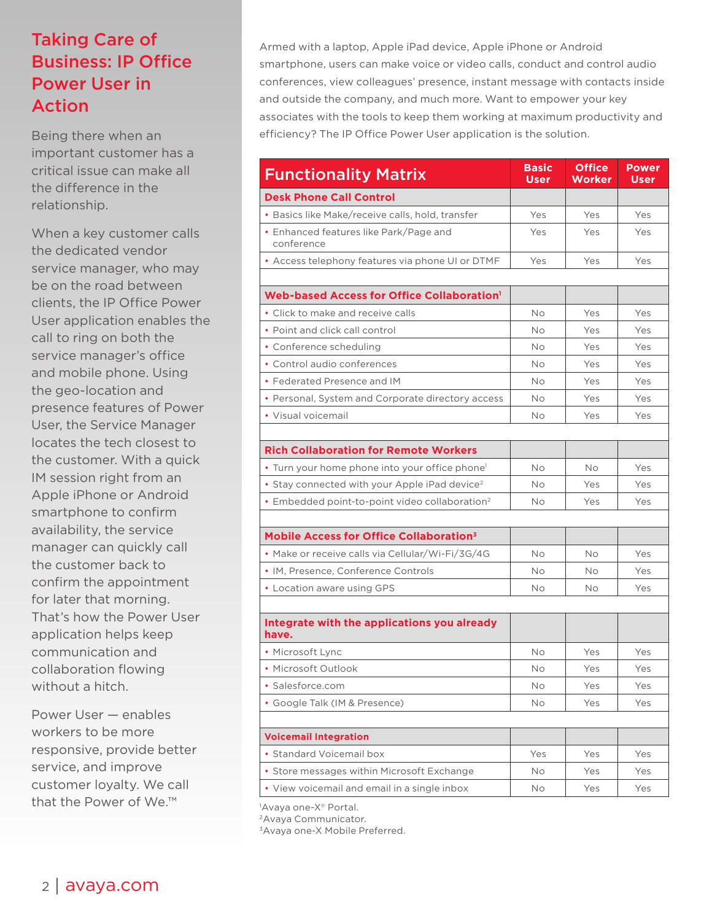# Taking Care of Business: IP Office Power User in Action

Being there when an important customer has a critical issue can make all the difference in the relationship.

When a key customer calls the dedicated vendor service manager, who may be on the road between clients, the IP Office Power User application enables the call to ring on both the service manager's office and mobile phone. Using the geo-location and presence features of Power User, the Service Manager locates the tech closest to the customer. With a quick IM session right from an Apple iPhone or Android smartphone to confirm availability, the service manager can quickly call the customer back to confirm the appointment for later that morning. That's how the Power User application helps keep communication and collaboration flowing without a hitch.

Power User — enables workers to be more responsive, provide better service, and improve customer loyalty. We call that the Power of We.™

Armed with a laptop, Apple iPad device, Apple iPhone or Android smartphone, users can make voice or video calls, conduct and control audio conferences, view colleagues' presence, instant message with contacts inside and outside the company, and much more. Want to empower your key associates with the tools to keep them working at maximum productivity and efficiency? The IP Office Power User application is the solution.

| <b>Functionality Matrix</b>                                | <b>Basic</b><br><b>User</b> | <b>Office</b><br>Worker | <b>Power</b><br><b>User</b> |
|------------------------------------------------------------|-----------------------------|-------------------------|-----------------------------|
| <b>Desk Phone Call Control</b>                             |                             |                         |                             |
| • Basics like Make/receive calls, hold, transfer           | Yes                         | Yes                     | Yes                         |
| • Enhanced features like Park/Page and<br>conference       | Yes                         | Yes                     | Yes                         |
| • Access telephony features via phone UI or DTMF           | Yes                         | Yes                     | Yes                         |
|                                                            |                             |                         |                             |
| Web-based Access for Office Collaboration <sup>1</sup>     |                             |                         |                             |
| • Click to make and receive calls                          | No                          | Yes                     | Yes                         |
| • Point and click call control                             | No                          | Yes                     | Yes                         |
| • Conference scheduling                                    | No                          | Yes                     | Yes                         |
| • Control audio conferences                                | <b>No</b>                   | Yes                     | Yes                         |
| • Federated Presence and IM                                | <b>No</b>                   | Yes                     | Yes                         |
| • Personal, System and Corporate directory access          | No                          | Yes                     | Yes                         |
| • Visual voicemail                                         | No                          | Yes                     | Yes                         |
|                                                            |                             |                         |                             |
| <b>Rich Collaboration for Remote Workers</b>               |                             |                         |                             |
| • Turn your home phone into your office phone <sup>1</sup> | No                          | <b>No</b>               | Yes                         |
| • Stay connected with your Apple iPad device <sup>2</sup>  | No                          | Yes                     | Yes                         |
| • Embedded point-to-point video collaboration <sup>2</sup> | <b>No</b>                   | Yes                     | Yes                         |
|                                                            |                             |                         |                             |
| Mobile Access for Office Collaboration <sup>3</sup>        |                             |                         |                             |
| • Make or receive calls via Cellular/Wi-Fi/3G/4G           | No                          | No                      | Yes                         |
| • IM, Presence, Conference Controls                        | No                          | Νo                      | Yes                         |
| • Location aware using GPS                                 | <b>No</b>                   | No                      | Yes                         |
|                                                            |                             |                         |                             |
| Integrate with the applications you already<br>have.       |                             |                         |                             |
| • Microsoft Lync                                           | No                          | Yes                     | Yes                         |
| • Microsoft Outlook                                        | No                          | Yes                     | Yes                         |
| · Salesforce.com                                           | No                          | Yes                     | Yes                         |
| • Google Talk (IM & Presence)                              | No                          | Yes                     | Yes                         |
|                                                            |                             |                         |                             |
| <b>Voicemail Integration</b>                               |                             |                         |                             |
| • Standard Voicemail box                                   | Yes                         | Yes                     | Yes                         |
| • Store messages within Microsoft Exchange                 | No                          | Yes                     | Yes                         |
| • View voicemail and email in a single inbox               | No                          | Yes                     | Yes                         |

'Avaya one-X® Portal.

<sup>2</sup> Avaya Communicator.

3Avaya one-X Mobile Preferred.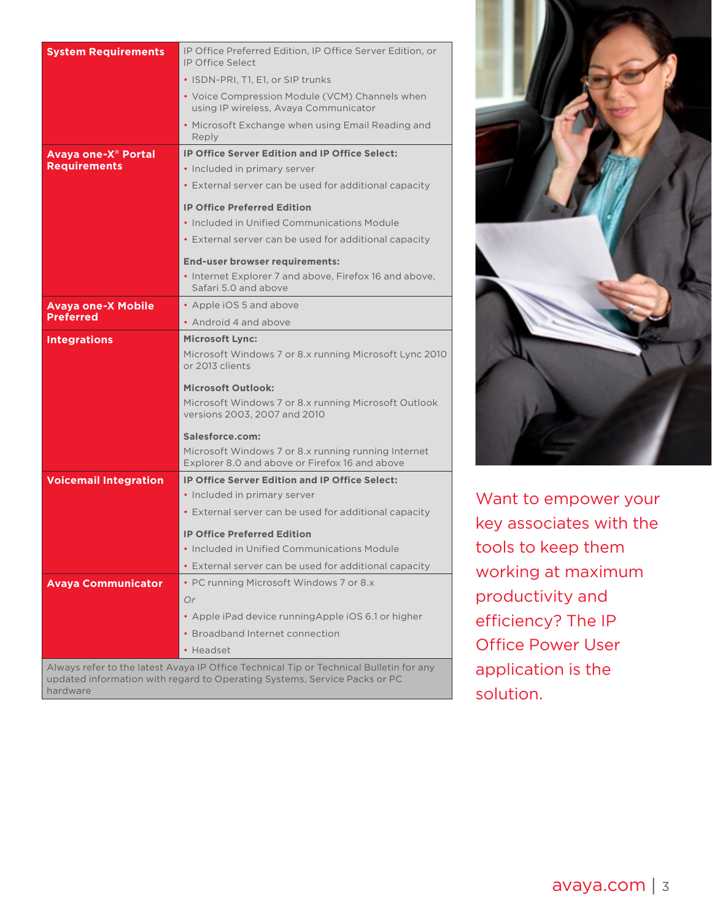| <b>System Requirements</b>                             | IP Office Preferred Edition, IP Office Server Edition, or<br><b>IP Office Select</b>                                                                                |  |  |
|--------------------------------------------------------|---------------------------------------------------------------------------------------------------------------------------------------------------------------------|--|--|
|                                                        | • ISDN-PRI, T1, E1, or SIP trunks                                                                                                                                   |  |  |
|                                                        | • Voice Compression Module (VCM) Channels when<br>using IP wireless, Avaya Communicator                                                                             |  |  |
|                                                        | • Microsoft Exchange when using Email Reading and<br>Reply                                                                                                          |  |  |
| Avaya one-X <sup>®</sup> Portal<br><b>Requirements</b> | <b>IP Office Server Edition and IP Office Select:</b><br>• Included in primary server                                                                               |  |  |
|                                                        | • External server can be used for additional capacity                                                                                                               |  |  |
|                                                        | <b>IP Office Preferred Edition</b>                                                                                                                                  |  |  |
|                                                        | • Included in Unified Communications Module                                                                                                                         |  |  |
|                                                        | • External server can be used for additional capacity                                                                                                               |  |  |
|                                                        |                                                                                                                                                                     |  |  |
|                                                        | End-user browser requirements:<br>• Internet Explorer 7 and above, Firefox 16 and above,                                                                            |  |  |
|                                                        | Safari 5.0 and above                                                                                                                                                |  |  |
| <b>Avaya one-X Mobile</b>                              | • Apple iOS 5 and above                                                                                                                                             |  |  |
| <b>Preferred</b>                                       | • Android 4 and above                                                                                                                                               |  |  |
| <b>Integrations</b>                                    | <b>Microsoft Lync:</b>                                                                                                                                              |  |  |
|                                                        | Microsoft Windows 7 or 8.x running Microsoft Lync 2010<br>or 2013 clients                                                                                           |  |  |
|                                                        | <b>Microsoft Outlook:</b>                                                                                                                                           |  |  |
|                                                        | Microsoft Windows 7 or 8.x running Microsoft Outlook<br>versions 2003, 2007 and 2010                                                                                |  |  |
|                                                        | Salesforce.com:                                                                                                                                                     |  |  |
|                                                        | Microsoft Windows 7 or 8.x running running Internet<br>Explorer 8.0 and above or Firefox 16 and above                                                               |  |  |
| <b>Voicemail Integration</b>                           | <b>IP Office Server Edition and IP Office Select:</b>                                                                                                               |  |  |
|                                                        | • Included in primary server                                                                                                                                        |  |  |
|                                                        | • External server can be used for additional capacity                                                                                                               |  |  |
|                                                        | <b>IP Office Preferred Edition</b>                                                                                                                                  |  |  |
|                                                        | • Included in Unified Communications Module                                                                                                                         |  |  |
|                                                        | • External server can be used for additional capacity                                                                                                               |  |  |
| <b>Avaya Communicator</b>                              | • PC running Microsoft Windows 7 or 8.x                                                                                                                             |  |  |
|                                                        | Or                                                                                                                                                                  |  |  |
|                                                        | • Apple iPad device running Apple iOS 6.1 or higher                                                                                                                 |  |  |
|                                                        | · Broadband Internet connection                                                                                                                                     |  |  |
|                                                        | • Headset                                                                                                                                                           |  |  |
|                                                        | Always refer to the latest Avaya IP Office Technical Tip or Technical Bulletin for any<br>updated information with regard to Operating Systems, Service Packs or PC |  |  |

Want to empower your key associates with the tools to keep them working at maximum productivity and efficiency? The IP Office Power User application is the solution.

hardware